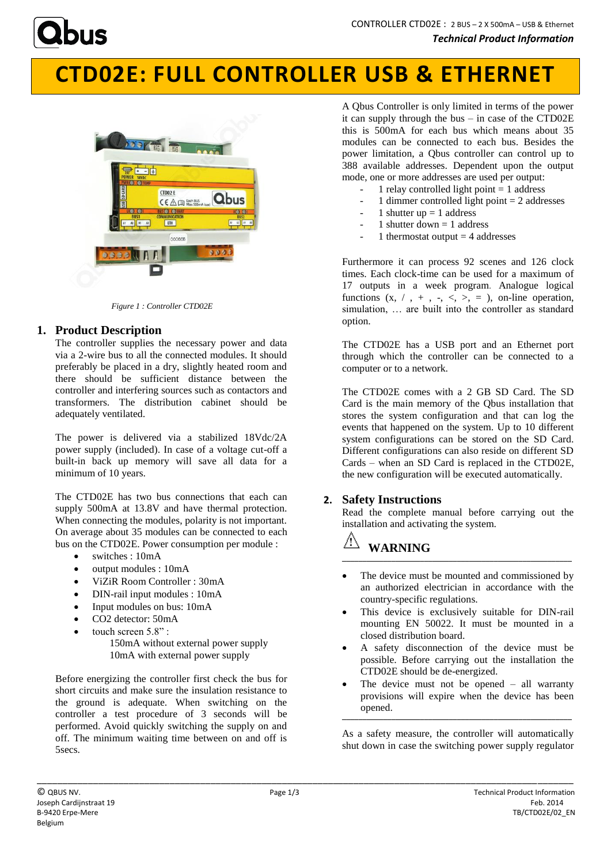

# **CTD02E: FULL CONTROLLER USB & ETHERNET**



*Figure 1 : Controller CTD02E*

## **1. Product Description**

The controller supplies the necessary power and data via a 2-wire bus to all the connected modules. It should preferably be placed in a dry, slightly heated room and there should be sufficient distance between the controller and interfering sources such as contactors and transformers. The distribution cabinet should be adequately ventilated.

The power is delivered via a stabilized 18Vdc/2A power supply (included). In case of a voltage cut-off a built-in back up memory will save all data for a minimum of 10 years.

The CTD02E has two bus connections that each can supply 500mA at 13.8V and have thermal protection. When connecting the modules, polarity is not important. On average about 35 modules can be connected to each bus on the CTD02E. Power consumption per module :

- switches : 10mA
- $\bullet$  output modules : 10mA
- ViZiR Room Controller : 30mA
- DIN-rail input modules : 10mA
- Input modules on bus: 10mA
- CO2 detector: 50mA
- touch screen  $5.8$ " ·
	- 150mA without external power supply 10mA with external power supply

Before energizing the controller first check the bus for short circuits and make sure the insulation resistance to the ground is adequate. When switching on the controller a test procedure of 3 seconds will be performed. Avoid quickly switching the supply on and off. The minimum waiting time between on and off is 5secs.

A Qbus Controller is only limited in terms of the power it can supply through the bus – in case of the CTD02E this is 500mA for each bus which means about 35 modules can be connected to each bus. Besides the power limitation, a Qbus controller can control up to 388 available addresses. Dependent upon the output mode, one or more addresses are used per output:

- 1 relay controlled light point  $= 1$  address
- 1 dimmer controlled light point  $= 2$  addresses
- 1 shutter up  $= 1$  address
- 1 shutter down  $= 1$  address
- 1 thermostat output  $=$  4 addresses

Furthermore it can process 92 scenes and 126 clock times. Each clock-time can be used for a maximum of 17 outputs in a week program. Analogue logical functions  $(x, /, +, -, <, >, =)$ , on-line operation, simulation, … are built into the controller as standard option.

The CTD02E has a USB port and an Ethernet port through which the controller can be connected to a computer or to a network.

The CTD02E comes with a 2 GB SD Card. The SD Card is the main memory of the Qbus installation that stores the system configuration and that can log the events that happened on the system. Up to 10 different system configurations can be stored on the SD Card. Different configurations can also reside on different SD Cards – when an SD Card is replaced in the CTD02E, the new configuration will be executed automatically.

### **2. Safety Instructions**

Read the complete manual before carrying out the installation and activating the system.

### **WARNING \_\_\_\_\_\_\_\_\_\_\_\_\_\_\_\_\_\_\_\_\_\_\_\_\_\_\_\_\_\_\_\_\_\_\_\_\_\_\_\_\_\_\_\_\_\_\_\_\_\_\_\_\_\_\_\_**

- The device must be mounted and commissioned by an authorized electrician in accordance with the country-specific regulations.
- This device is exclusively suitable for DIN-rail mounting EN 50022. It must be mounted in a closed distribution board.
- A safety disconnection of the device must be possible. Before carrying out the installation the CTD02E should be de-energized.
- The device must not be opened  $-$  all warranty provisions will expire when the device has been opened. **\_\_\_\_\_\_\_\_\_\_\_\_\_\_\_\_\_\_\_\_\_\_\_\_\_\_\_\_\_\_\_\_\_\_\_\_\_\_\_\_\_\_\_\_\_\_\_\_\_\_\_\_\_\_\_\_**

As a safety measure, the controller will automatically shut down in case the switching power supply regulator

\_\_\_\_\_\_\_\_\_\_\_\_\_\_\_\_\_\_\_\_\_\_\_\_\_\_\_\_\_\_\_\_\_\_\_\_\_\_\_\_\_\_\_\_\_\_\_\_\_\_\_\_\_\_\_\_\_\_\_\_\_\_\_\_\_\_\_\_\_\_\_\_\_\_\_\_\_\_\_\_\_\_\_\_\_\_\_\_\_\_\_\_\_\_\_\_\_\_\_\_\_\_\_\_\_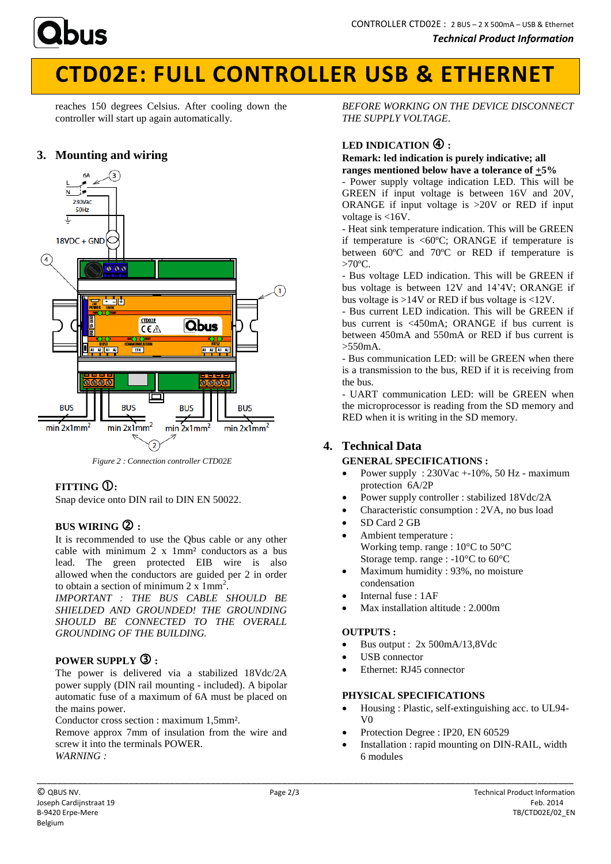

# **CTD02E: FULL CONTROLLER USB & ETHERNET**

reaches 150 degrees Celsius. After cooling down the controller will start up again automatically.

## **3. Mounting and wiring**



*Figure 2 : Connection controller CTD02E*

## **FITTING :**

Snap device onto DIN rail to DIN EN 50022.

## **BUS WIRING :**

It is recommended to use the Qbus cable or any other cable with minimum 2 x 1mm² conductors as a bus lead. The green protected EIB wire is also allowed when the conductors are guided per 2 in order to obtain a section of minimum  $2 \times 1 \text{mm}^2$ .

*IMPORTANT : THE BUS CABLE SHOULD BE SHIELDED AND GROUNDED! THE GROUNDING SHOULD BE CONNECTED TO THE OVERALL GROUNDING OF THE BUILDING.*

## **POWER SUPPLY :**

The power is delivered via a stabilized 18Vdc/2A power supply (DIN rail mounting - included). A bipolar automatic fuse of a maximum of 6A must be placed on the mains power.

Conductor cross section : maximum 1,5mm².

Remove approx 7mm of insulation from the wire and screw it into the terminals POWER. *WARNING :*

*BEFORE WORKING ON THE DEVICE DISCONNECT THE SUPPLY VOLTAGE*.

## LED INDICATION  $\bigoplus$ :

#### **Remark: led indication is purely indicative; all ranges mentioned below have a tolerance of +5%**

- Power supply voltage indication LED. This will be GREEN if input voltage is between 16V and 20V, ORANGE if input voltage is >20V or RED if input voltage is <16V.

- Heat sink temperature indication. This will be GREEN if temperature is  $<60^{\circ}\text{C}$ ; ORANGE if temperature is between 60ºC and 70ºC or RED if temperature is  $>70^{\circ}$ C.

- Bus voltage LED indication. This will be GREEN if bus voltage is between 12V and 14'4V; ORANGE if bus voltage is >14V or RED if bus voltage is <12V.

- Bus current LED indication. This will be GREEN if bus current is <450mA; ORANGE if bus current is between 450mA and 550mA or RED if bus current is  $\sim$ 550m A.

- Bus communication LED: will be GREEN when there is a transmission to the bus, RED if it is receiving from the bus.

- UART communication LED: will be GREEN when the microprocessor is reading from the SD memory and RED when it is writing in the SD memory.

## **4. Technical Data**

### **GENERAL SPECIFICATIONS :**

- Power supply : 230Vac +-10%, 50 Hz maximum protection 6A/2P
- Power supply controller : stabilized 18Vdc/2A
- Characteristic consumption : 2VA, no bus load
- SD Card 2 GB
- Ambient temperature : Working temp. range : 10°C to 50°C Storage temp. range : -10°C to 60°C
- Maximum humidity : 93%, no moisture condensation
- Internal fuse : 1AF
- Max installation altitude : 2.000m

### **OUTPUTS :**

- $\bullet$  Bus output : 2x 500mA/13,8Vdc
- USB connector
- Ethernet: RJ45 connector

### **PHYSICAL SPECIFICATIONS**

- Housing : Plastic, self-extinguishing acc. to UL94- V0
- Protection Degree : IP20, EN 60529
- Installation : rapid mounting on DIN-RAIL, width 6 modules

\_\_\_\_\_\_\_\_\_\_\_\_\_\_\_\_\_\_\_\_\_\_\_\_\_\_\_\_\_\_\_\_\_\_\_\_\_\_\_\_\_\_\_\_\_\_\_\_\_\_\_\_\_\_\_\_\_\_\_\_\_\_\_\_\_\_\_\_\_\_\_\_\_\_\_\_\_\_\_\_\_\_\_\_\_\_\_\_\_\_\_\_\_\_\_\_\_\_\_\_\_\_\_\_\_